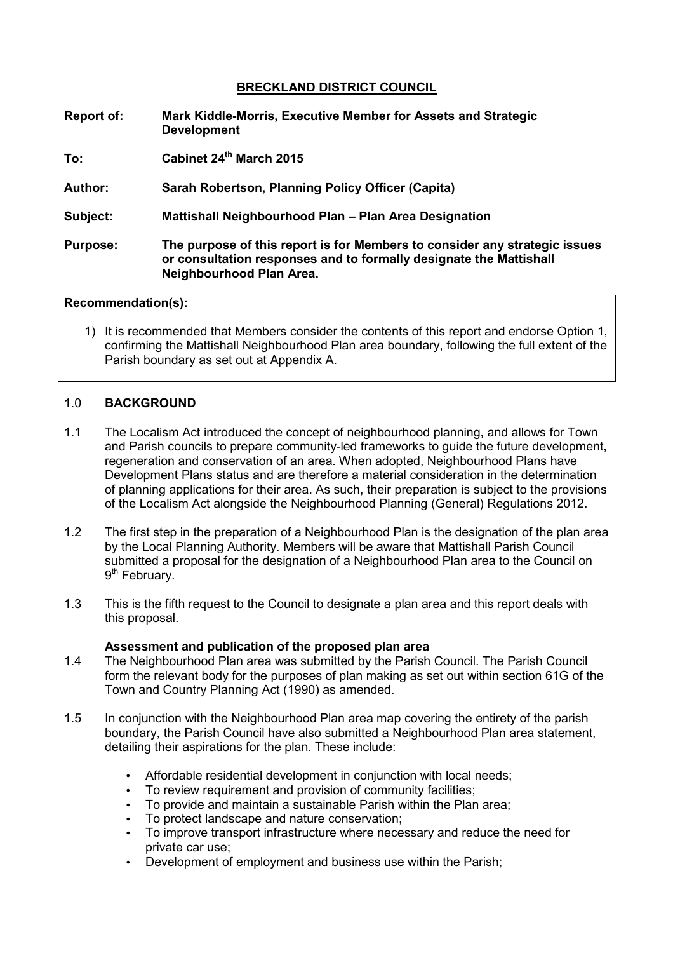## **BRECKLAND DISTRICT COUNCIL**

- **Report of: Mark Kiddle-Morris, Executive Member for Assets and Strategic Development**
- **To: Cabinet 24th March 2015**
- **Author: Sarah Robertson, Planning Policy Officer (Capita)**
- **Subject: Mattishall Neighbourhood Plan Plan Area Designation**
- **Purpose: The purpose of this report is for Members to consider any strategic issues or consultation responses and to formally designate the Mattishall Neighbourhood Plan Area.**

#### **Recommendation(s):**

1) It is recommended that Members consider the contents of this report and endorse Option 1, confirming the Mattishall Neighbourhood Plan area boundary, following the full extent of the Parish boundary as set out at Appendix A.

#### 1.0 **BACKGROUND**

- 1.1 The Localism Act introduced the concept of neighbourhood planning, and allows for Town and Parish councils to prepare community-led frameworks to guide the future development, regeneration and conservation of an area. When adopted, Neighbourhood Plans have Development Plans status and are therefore a material consideration in the determination of planning applications for their area. As such, their preparation is subject to the provisions of the Localism Act alongside the Neighbourhood Planning (General) Regulations 2012.
- 1.2 The first step in the preparation of a Neighbourhood Plan is the designation of the plan area by the Local Planning Authority. Members will be aware that Mattishall Parish Council submitted a proposal for the designation of a Neighbourhood Plan area to the Council on 9<sup>th</sup> February.
- 1.3 This is the fifth request to the Council to designate a plan area and this report deals with this proposal.

#### **Assessment and publication of the proposed plan area**

- 1.4 The Neighbourhood Plan area was submitted by the Parish Council. The Parish Council form the relevant body for the purposes of plan making as set out within section 61G of the Town and Country Planning Act (1990) as amended.
- 1.5 In conjunction with the Neighbourhood Plan area map covering the entirety of the parish boundary, the Parish Council have also submitted a Neighbourhood Plan area statement, detailing their aspirations for the plan. These include:
	- Affordable residential development in conjunction with local needs:
	- To review requirement and provision of community facilities;
	- To provide and maintain a sustainable Parish within the Plan area;
	- To protect landscape and nature conservation;
	- To improve transport infrastructure where necessary and reduce the need for private car use;
	- Development of employment and business use within the Parish;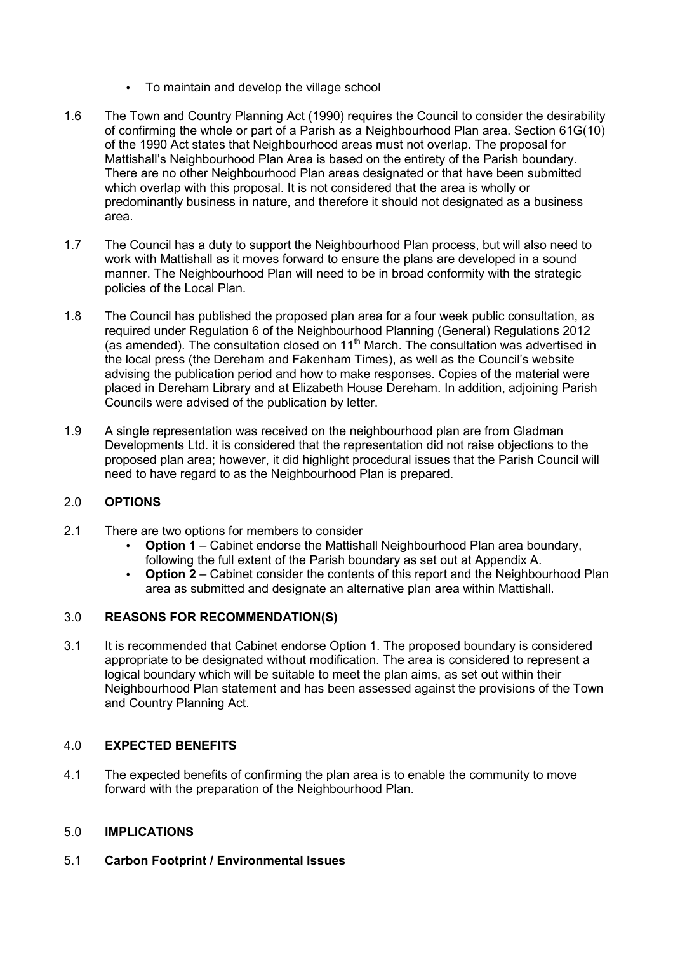- To maintain and develop the village school
- 1.6 The Town and Country Planning Act (1990) requires the Council to consider the desirability of confirming the whole or part of a Parish as a Neighbourhood Plan area. Section 61G(10) of the 1990 Act states that Neighbourhood areas must not overlap. The proposal for Mattishall's Neighbourhood Plan Area is based on the entirety of the Parish boundary. There are no other Neighbourhood Plan areas designated or that have been submitted which overlap with this proposal. It is not considered that the area is wholly or predominantly business in nature, and therefore it should not designated as a business area.
- 1.7 The Council has a duty to support the Neighbourhood Plan process, but will also need to work with Mattishall as it moves forward to ensure the plans are developed in a sound manner. The Neighbourhood Plan will need to be in broad conformity with the strategic policies of the Local Plan.
- 1.8 The Council has published the proposed plan area for a four week public consultation, as required under Regulation 6 of the Neighbourhood Planning (General) Regulations 2012 (as amended). The consultation closed on  $11<sup>th</sup>$  March. The consultation was advertised in the local press (the Dereham and Fakenham Times), as well as the Council's website advising the publication period and how to make responses. Copies of the material were placed in Dereham Library and at Elizabeth House Dereham. In addition, adjoining Parish Councils were advised of the publication by letter.
- 1.9 A single representation was received on the neighbourhood plan are from Gladman Developments Ltd. it is considered that the representation did not raise objections to the proposed plan area; however, it did highlight procedural issues that the Parish Council will need to have regard to as the Neighbourhood Plan is prepared.

# 2.0 **OPTIONS**

- 2.1 There are two options for members to consider
	- **Option 1** Cabinet endorse the Mattishall Neighbourhood Plan area boundary, following the full extent of the Parish boundary as set out at Appendix A.
	- **Option 2** Cabinet consider the contents of this report and the Neighbourhood Plan area as submitted and designate an alternative plan area within Mattishall.

### 3.0 **REASONS FOR RECOMMENDATION(S)**

3.1 It is recommended that Cabinet endorse Option 1. The proposed boundary is considered appropriate to be designated without modification. The area is considered to represent a logical boundary which will be suitable to meet the plan aims, as set out within their Neighbourhood Plan statement and has been assessed against the provisions of the Town and Country Planning Act.

# 4.0 **EXPECTED BENEFITS**

4.1 The expected benefits of confirming the plan area is to enable the community to move forward with the preparation of the Neighbourhood Plan.

## 5.0 **IMPLICATIONS**

### 5.1 **Carbon Footprint / Environmental Issues**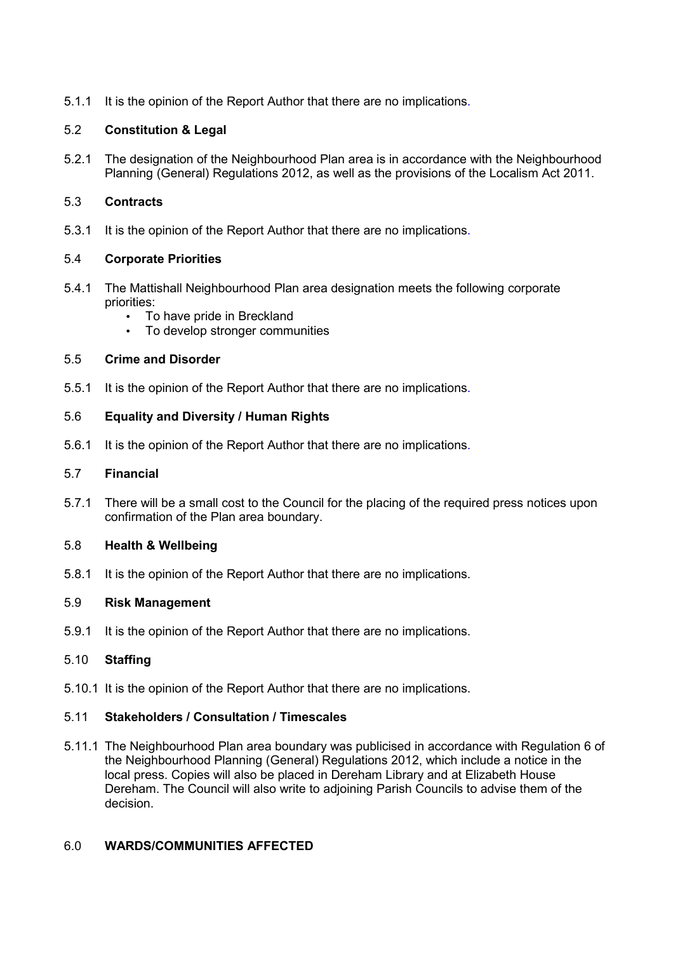5.1.1 It is the opinion of the Report Author that there are no implications.

## 5.2 **Constitution & Legal**

5.2.1 The designation of the Neighbourhood Plan area is in accordance with the Neighbourhood Planning (General) Regulations 2012, as well as the provisions of the Localism Act 2011.

### 5.3 **Contracts**

5.3.1 It is the opinion of the Report Author that there are no implications.

### 5.4 **Corporate Priorities**

- 5.4.1 The Mattishall Neighbourhood Plan area designation meets the following corporate priorities:
	- To have pride in Breckland
	- To develop stronger communities

### 5.5 **Crime and Disorder**

5.5.1 It is the opinion of the Report Author that there are no implications.

### 5.6 **Equality and Diversity / Human Rights**

5.6.1 It is the opinion of the Report Author that there are no implications.

#### 5.7 **Financial**

5.7.1 There will be a small cost to the Council for the placing of the required press notices upon confirmation of the Plan area boundary.

### 5.8 **Health & Wellbeing**

5.8.1 It is the opinion of the Report Author that there are no implications.

## 5.9 **Risk Management**

5.9.1 It is the opinion of the Report Author that there are no implications.

### 5.10 **Staffing**

5.10.1 It is the opinion of the Report Author that there are no implications.

## 5.11 **Stakeholders / Consultation / Timescales**

5.11.1 The Neighbourhood Plan area boundary was publicised in accordance with Regulation 6 of the Neighbourhood Planning (General) Regulations 2012, which include a notice in the local press. Copies will also be placed in Dereham Library and at Elizabeth House Dereham. The Council will also write to adjoining Parish Councils to advise them of the decision.

### 6.0 **WARDS/COMMUNITIES AFFECTED**